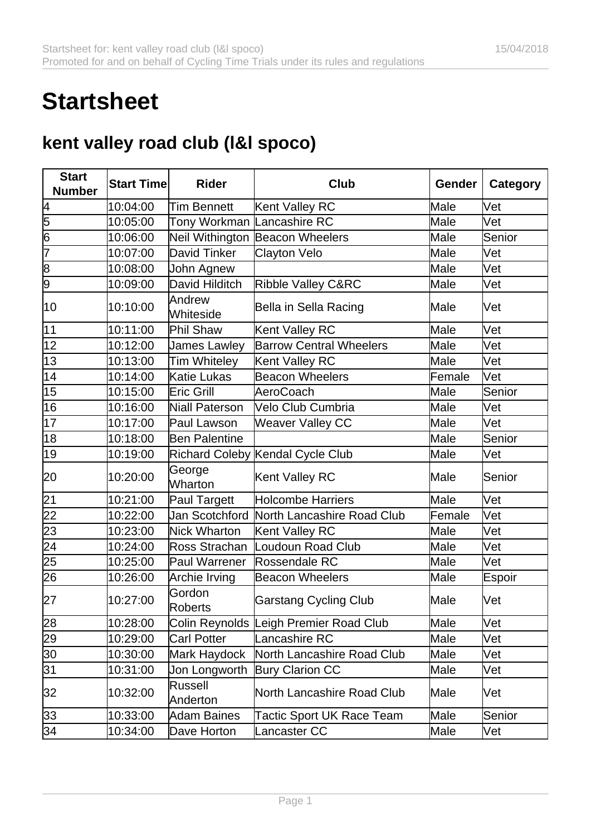## **Startsheet**

## **kent valley road club (l&l spoco)**

| <b>Start</b><br><b>Number</b> | <b>Start Time</b> | <b>Rider</b>               | <b>Club</b>                            | Gender | <b>Category</b> |
|-------------------------------|-------------------|----------------------------|----------------------------------------|--------|-----------------|
| 4                             | 10:04:00          | <b>Tim Bennett</b>         | Kent Valley RC                         | Male   | Vet             |
| 5                             | 10:05:00          | Tony Workman Lancashire RC |                                        | Male   | Vet             |
| $\overline{6}$                | 10:06:00          |                            | Neil Withington Beacon Wheelers        | Male   | Senior          |
| 7                             | 10:07:00          | <b>David Tinker</b>        | Clayton Velo                           | Male   | Vet             |
| 8                             | 10:08:00          | John Agnew                 |                                        | Male   | Vet             |
| 9                             | 10:09:00          | David Hilditch             | <b>Ribble Valley C&amp;RC</b>          | Male   | Vet             |
| 10                            | 10:10:00          | Andrew<br>Whiteside        | Bella in Sella Racing                  | Male   | Vet             |
| 11                            | 10:11:00          | Phil Shaw                  | Kent Valley RC                         | Male   | Vet             |
| 12                            | 10:12:00          | <b>James Lawley</b>        | <b>Barrow Central Wheelers</b>         | Male   | Vet             |
| 13                            | 10:13:00          | <b>Tim Whiteley</b>        | Kent Valley RC                         | Male   | Vet             |
| 14                            | 10:14:00          | <b>Katie Lukas</b>         | <b>Beacon Wheelers</b>                 | Female | Vet             |
| 15                            | 10:15:00          | <b>Eric Grill</b>          | AeroCoach                              | Male   | Senior          |
| 16                            | 10:16:00          | Niall Paterson             | Velo Club Cumbria                      | Male   | Vet             |
| 17                            | 10:17:00          | Paul Lawson                | <b>Weaver Valley CC</b>                | Male   | Vet             |
| 18                            | 10:18:00          | <b>Ben Palentine</b>       |                                        | Male   | Senior          |
| 19                            | 10:19:00          |                            | Richard Coleby Kendal Cycle Club       | Male   | Vet             |
| 20                            | 10:20:00          | George<br>Wharton          | Kent Valley RC                         | Male   | Senior          |
| 21                            | 10:21:00          | <b>Paul Targett</b>        | Holcombe Harriers                      | Male   | Vet             |
| 22                            | 10:22:00          | Jan Scotchford             | North Lancashire Road Club             | Female | Vet             |
| 23                            | 10:23:00          | Nick Wharton               | Kent Valley RC                         | Male   | Vet             |
| $\overline{24}$               | 10:24:00          | Ross Strachan              | Loudoun Road Club                      | Male   | Vet             |
| 25                            | 10:25:00          | Paul Warrener              | Rossendale RC                          | Male   | Vet             |
| 26                            | 10:26:00          | Archie Irving              | <b>Beacon Wheelers</b>                 | Male   | Espoir          |
| 27                            | 10:27:00          | Gordon<br><b>Roberts</b>   | <b>Garstang Cycling Club</b>           | Male   | Vet             |
| 28                            | 10:28:00          |                            | Colin Reynolds Leigh Premier Road Club | Male   | Vet             |
| 29                            | 10:29:00          | <b>Carl Potter</b>         | Lancashire RC                          | Male   | Vet             |
| 30                            | 10:30:00          | Mark Haydock               | North Lancashire Road Club             | Male   | Vet             |
| 31                            | 10:31:00          | Jon Longworth              | <b>Bury Clarion CC</b>                 | Male   | Vet             |
| 32                            | 10:32:00          | <b>Russell</b><br>Anderton | North Lancashire Road Club             | Male   | Vet             |
| 33                            | 10:33:00          | <b>Adam Baines</b>         | <b>Tactic Sport UK Race Team</b>       | Male   | Senior          |
| 34                            | 10:34:00          | Dave Horton                | Lancaster CC                           | Male   | Vet             |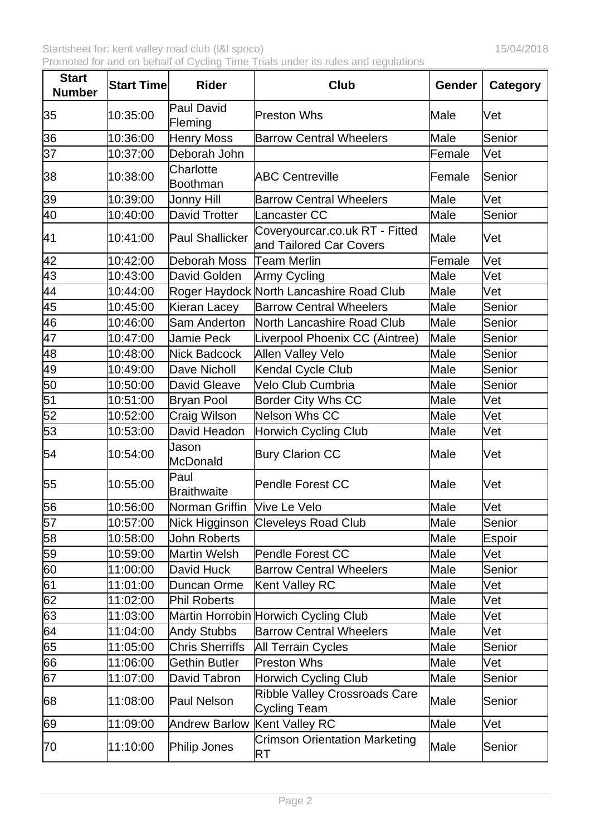| <b>Start</b><br><b>Number</b> | <b>Start Time</b> | <b>Rider</b>                | <b>Club</b>                                               | Gender | Category |
|-------------------------------|-------------------|-----------------------------|-----------------------------------------------------------|--------|----------|
| 35                            | 10:35:00          | Paul David<br>Fleming       | <b>Preston Whs</b>                                        | Male   | Vet      |
| 36                            | 10:36:00          | Henry Moss                  | <b>Barrow Central Wheelers</b>                            | Male   | Senior   |
| $\overline{37}$               | 10:37:00          | Deborah John                |                                                           | Female | Vet      |
| 38                            | 10:38:00          | Charlotte<br>Boothman       | <b>ABC Centreville</b>                                    | Female | Senior   |
| 39                            | 10:39:00          | Jonny Hill                  | <b>Barrow Central Wheelers</b>                            | Male   | Vet      |
| 40                            | 10:40:00          | David Trotter               | Lancaster CC                                              | Male   | Senior   |
| 41                            | 10:41:00          | Paul Shallicker             | Coveryourcar.co.uk RT - Fitted<br>and Tailored Car Covers | Male   | Vet      |
| $\overline{42}$               | 10:42:00          | Deborah Moss                | Team Merlin                                               | Female | Vet      |
|                               | 10:43:00          | David Golden                | Army Cycling                                              | Male   | Vet      |
| $\frac{43}{44}$               | 10:44:00          |                             | Roger Haydock North Lancashire Road Club                  | Male   | Vet      |
| 45                            | 10:45:00          | Kieran Lacey                | <b>Barrow Central Wheelers</b>                            | Male   | Senior   |
| 46                            | 10:46:00          | Sam Anderton                | North Lancashire Road Club                                | Male   | Senior   |
| 47                            | 10:47:00          | <b>Jamie Peck</b>           | Liverpool Phoenix CC (Aintree)                            | Male   | Senior   |
|                               | 10:48:00          | Nick Badcock                | Allen Valley Velo                                         | Male   | Senior   |
| $\frac{48}{49}$               | 10:49:00          | Dave Nicholl                | Kendal Cycle Club                                         | Male   | Senior   |
| 50                            | 10:50:00          | David Gleave                | Velo Club Cumbria                                         | Male   | Senior   |
| $\overline{51}$               | 10:51:00          | Bryan Pool                  | Border City Whs CC                                        | Male   | Vet      |
| $\overline{52}$               | 10:52:00          | <b>Craig Wilson</b>         | Nelson Whs CC                                             | Male   | Vet      |
| 53                            | 10:53:00          | David Headon                | Horwich Cycling Club                                      | Male   | Vet      |
| 54                            | 10:54:00          | Jason<br>McDonald           | <b>Bury Clarion CC</b>                                    | Male   | Vet      |
| 55                            | 10:55:00          | Paul<br>Braithwaite         | Pendle Forest CC                                          | Male   | lVet     |
| 56                            | 10:56:00          | Norman Griffin Vive Le Velo |                                                           | Male   | Vet      |
| 57                            | 10:57:00          |                             | Nick Higginson Cleveleys Road Club                        | Male   | Senior   |
| $\overline{58}$               | 10:58:00          | <b>John Roberts</b>         |                                                           | Male   | Espoir   |
| $\overline{59}$               | 10:59:00          | Martin Welsh                | Pendle Forest CC                                          | Male   | Vet      |
| 60                            | 11:00:00          | David Huck                  | <b>Barrow Central Wheelers</b>                            | Male   | Senior   |
| 61                            | 11:01:00          | Duncan Orme                 | Kent Valley RC                                            | Male   | Vet      |
| $\overline{62}$               | 11:02:00          | Phil Roberts                |                                                           | Male   | Vet      |
| 63                            | 11:03:00          |                             | Martin Horrobin Horwich Cycling Club                      | Male   | Vet      |
| 64                            | 11:04:00          | <b>Andy Stubbs</b>          | <b>Barrow Central Wheelers</b>                            | Male   | Vet      |
| 65                            | 11:05:00          | <b>Chris Sherriffs</b>      | All Terrain Cycles                                        | Male   | Senior   |
| 66                            | 11:06:00          | <b>Gethin Butler</b>        | <b>Preston Whs</b>                                        | Male   | Vet      |
| 67                            | 11:07:00          | David Tabron                | <b>Horwich Cycling Club</b>                               | Male   | Senior   |
| 68                            | 11:08:00          | Paul Nelson                 | Ribble Valley Crossroads Care<br>Cycling Team             | Male   | Senior   |
| 69                            | 11:09:00          | <b>Andrew Barlow</b>        | <b>Kent Valley RC</b>                                     | Male   | Vet      |
| 70                            | 11:10:00          | Philip Jones                | <b>Crimson Orientation Marketing</b><br><b>RT</b>         | Male   | Senior   |